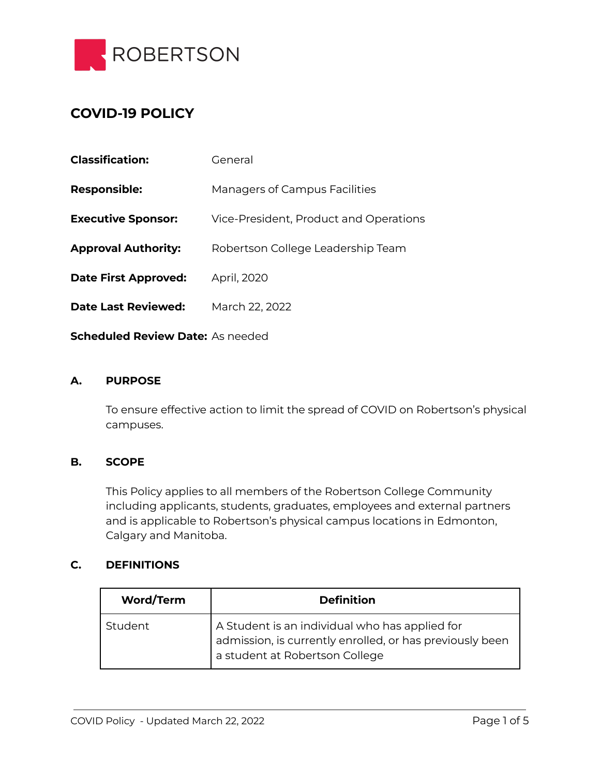

# **COVID-19 POLICY**

| <b>Responsible:</b><br><b>Managers of Campus Facilities</b><br><b>Executive Sponsor:</b><br>Vice-President, Product and Operations<br><b>Approval Authority:</b><br>Robertson College Leadership Team<br><b>Date First Approved:</b><br>April, 2020<br><b>Date Last Reviewed:</b><br>March 22, 2022 | <b>Classification:</b> | General |  |
|-----------------------------------------------------------------------------------------------------------------------------------------------------------------------------------------------------------------------------------------------------------------------------------------------------|------------------------|---------|--|
|                                                                                                                                                                                                                                                                                                     |                        |         |  |
|                                                                                                                                                                                                                                                                                                     |                        |         |  |
|                                                                                                                                                                                                                                                                                                     |                        |         |  |
|                                                                                                                                                                                                                                                                                                     |                        |         |  |
|                                                                                                                                                                                                                                                                                                     |                        |         |  |

**Scheduled Review Date:** As needed

#### **A. PURPOSE**

To ensure effective action to limit the spread of COVID on Robertson's physical campuses.

#### **B. SCOPE**

This Policy applies to all members of the Robertson College Community including applicants, students, graduates, employees and external partners and is applicable to Robertson's physical campus locations in Edmonton, Calgary and Manitoba.

#### **C. DEFINITIONS**

| <b>Word/Term</b> | <b>Definition</b>                                                                                                                            |
|------------------|----------------------------------------------------------------------------------------------------------------------------------------------|
| Student          | A Student is an individual who has applied for<br>admission, is currently enrolled, or has previously been<br>a student at Robertson College |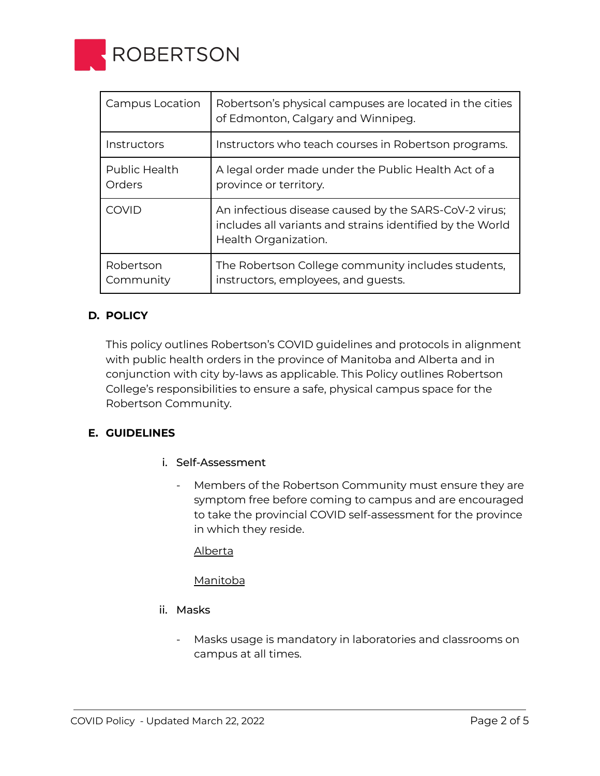

| Campus Location         | Robertson's physical campuses are located in the cities<br>of Edmonton, Calgary and Winnipeg.                                              |
|-------------------------|--------------------------------------------------------------------------------------------------------------------------------------------|
| Instructors             | Instructors who teach courses in Robertson programs.                                                                                       |
| Public Health<br>Orders | A legal order made under the Public Health Act of a<br>province or territory.                                                              |
| COVID                   | An infectious disease caused by the SARS-CoV-2 virus;<br>includes all variants and strains identified by the World<br>Health Organization. |
| Robertson<br>Community  | The Robertson College community includes students,<br>instructors, employees, and guests.                                                  |

## **D. POLICY**

This policy outlines Robertson's COVID guidelines and protocols in alignment with public health orders in the province of Manitoba and Alberta and in conjunction with city by-laws as applicable. This Policy outlines Robertson College's responsibilities to ensure a safe, physical campus space for the Robertson Community.

#### **E. GUIDELINES**

- i. Self-Assessment
	- Members of the Robertson Community must ensure they are symptom free before coming to campus and are encouraged to take the provincial COVID self-assessment for the province in which they reside.

[Alberta](https://myhealth.alberta.ca/Journey/COVID-19/Pages/COVID-Self-Assessment.aspx)

[Manitoba](https://sharedhealthmb.ca/covid19/screening-tool/)

- ii. Masks
	- Masks usage is mandatory in laboratories and classrooms on campus at all times.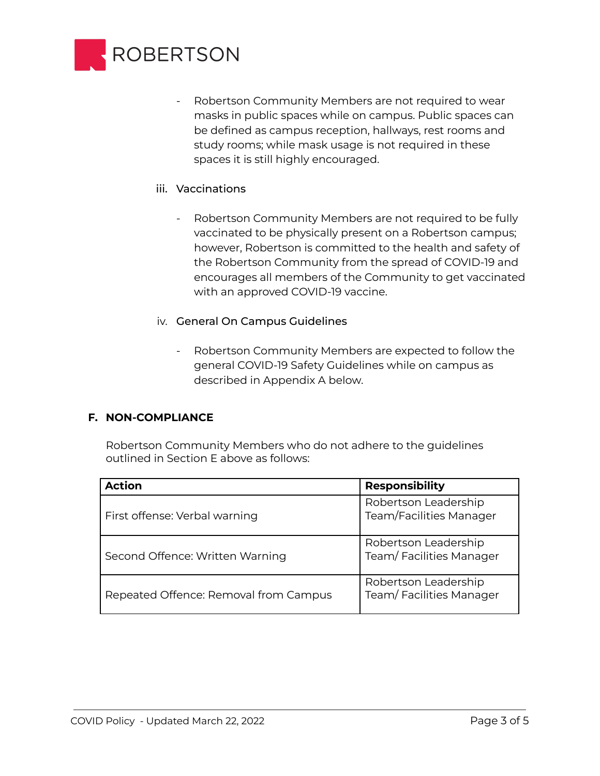

- Robertson Community Members are not required to wear masks in public spaces while on campus. Public spaces can be defined as campus reception, hallways, rest rooms and study rooms; while mask usage is not required in these spaces it is still highly encouraged.
- iii. Vaccinations
	- Robertson Community Members are not required to be fully vaccinated to be physically present on a Robertson campus; however, Robertson is committed to the health and safety of the Robertson Community from the spread of COVID-19 and encourages all members of the Community to get vaccinated with an approved COVID-19 vaccine.
- iv. General On Campus Guidelines
	- Robertson Community Members are expected to follow the general COVID-19 Safety Guidelines while on campus as described in Appendix A below.

#### **F. NON-COMPLIANCE**

Robertson Community Members who do not adhere to the guidelines outlined in Section E above as follows:

| <b>Action</b>                         | <b>Responsibility</b>                           |
|---------------------------------------|-------------------------------------------------|
| First offense: Verbal warning         | Robertson Leadership<br>Team/Facilities Manager |
| Second Offence: Written Warning       | Robertson Leadership<br>Team/Facilities Manager |
| Repeated Offence: Removal from Campus | Robertson Leadership<br>Team/Facilities Manager |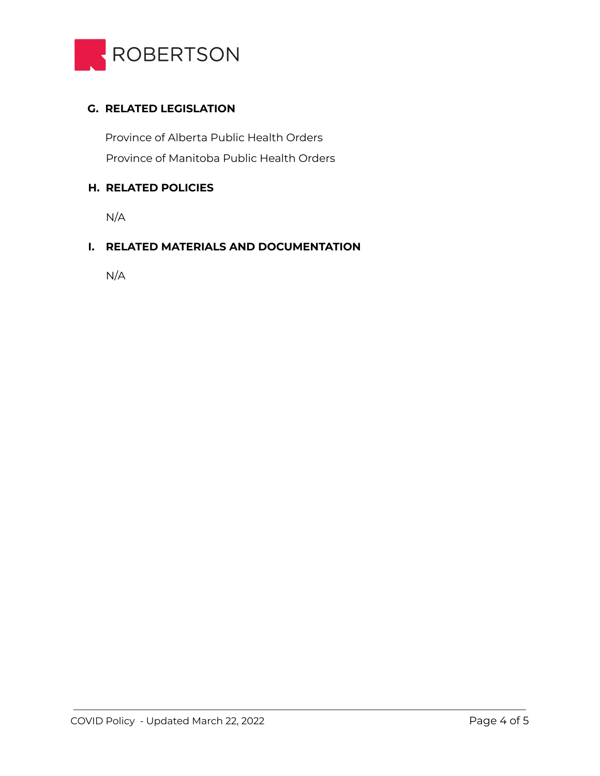

## **G. RELATED LEGISLATION**

Province of Manitoba Public Health Orders Province of Alberta Public Health Orders

## **H. RELATED POLICIES**

N/A

## **I. RELATED MATERIALS AND DOCUMENTATION**

N/A